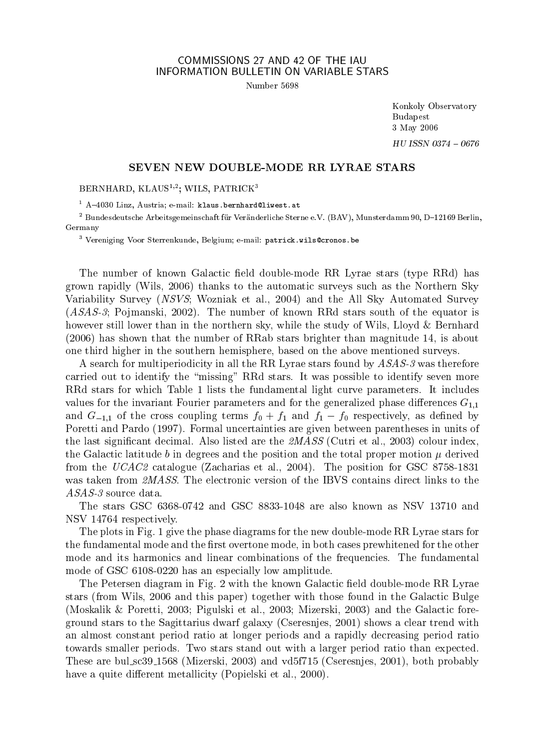## COMMISSIONS 27 AND 42 OF THE IAU INFORMATION BULLETIN ON VARIABLE STARS

Number 5698

Konkoly Observatory **Budapest** 3 May 2006 HU ISSN 0374 - 0676

## SEVEN NEW DOUBLE-MODE RR LYRAE STARS

BERNHARD, KLAUS<sup>1,2</sup>; WILS, PATRICK<sup>3</sup>

 $1$  A-4030 Linz, Austria; e-mail: klaus.bernhard@liwest.at

 $2$  Bundesdeutsche Arbeitsgemeinschaft für Veränderliche Sterne e.V. (BAV), Munsterdamm 90, D-12169 Berlin. Germany

<sup>3</sup> Vereniging Voor Sterrenkunde, Belgium; e-mail: patrick.wils@cronos.be

The number of known Galactic field double-mode RR Lyrae stars (type RRd) has grown rapidly (Wils, 2006) thanks to the automatic surveys such as the Northern Sky Variability Survey (NSVS; Wozniak et al., 2004) and the All Sky Automated Survey  $(ASAS-3;$  Pojmanski, 2002). The number of known RRd stars south of the equator is however still lower than in the northern sky, while the study of Wils, Lloyd & Bernhard (2006) has shown that the number of RRab stars brighter than magnitude 14, is about one third higher in the southern hemisphere, based on the above mentioned surveys.

A search for multiperiodicity in all the RR Lyrae stars found by ASAS-3 was therefore carried out to identify the "missing" RRd stars. It was possible to identify seven more RRd stars for which Table 1 lists the fundamental light curve parameters. It includes values for the invariant Fourier parameters and for the generalized phase differences  $G_{1,1}$ and  $G_{-1,1}$  of the cross coupling terms  $f_0 + f_1$  and  $f_1 - f_0$  respectively, as defined by Poretti and Pardo (1997). Formal uncertainties are given between parentheses in units of the last significant decimal. Also listed are the  $\mathcal{QMASS}$  (Cutri et al., 2003) colour index, the Galactic latitude b in degrees and the position and the total proper motion  $\mu$  derived from the UCAC2 catalogue (Zacharias et al., 2004). The position for GSC 8758-1831 was taken from 2MASS. The electronic version of the IBVS contains direct links to the  $ASAS-3$  source data.

The stars GSC 6368-0742 and GSC 8833-1048 are also known as NSV 13710 and NSV 14764 respectively.

The plots in Fig. 1 give the phase diagrams for the new double-mode RR Lyrae stars for the fundamental mode and the first overtone mode, in both cases prewhitened for the other mode and its harmonics and linear combinations of the frequencies. The fundamental mode of GSC 6108-0220 has an especially low amplitude.

The Petersen diagram in Fig. 2 with the known Galactic field double-mode RR Lyrae stars (from Wils, 2006 and this paper) together with those found in the Galactic Bulge (Moskalik & Poretti, 2003; Pigulski et al., 2003; Mizerski, 2003) and the Galactic foreground stars to the Sagittarius dwarf galaxy (Cseresnjes, 2001) shows a clear trend with an almost constant period ratio at longer periods and a rapidly decreasing period ratio towards smaller periods. Two stars stand out with a larger period ratio than expected. These are bul\_sc39\_1568 (Mizerski, 2003) and vd5f715 (Cseresnjes, 2001), both probably have a quite different metallicity (Popielski et al., 2000).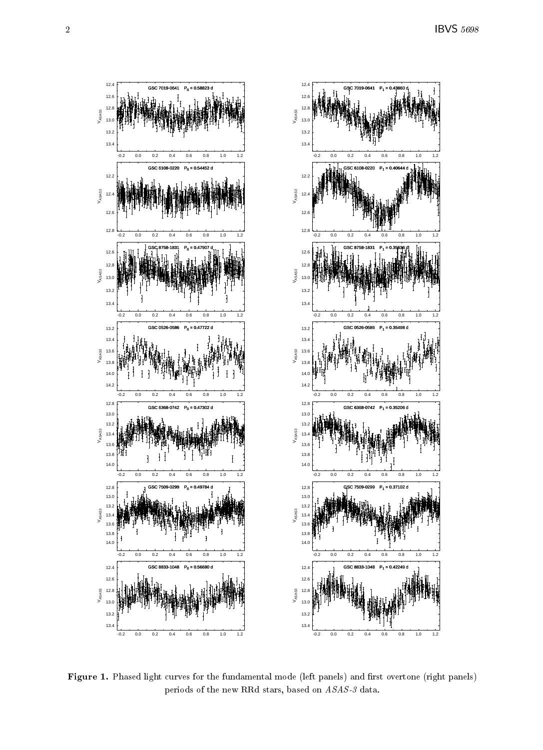

- (+ ,-+ . / + /- - 0/ 1  2  0,-+ 1 , / + 3 !  - 4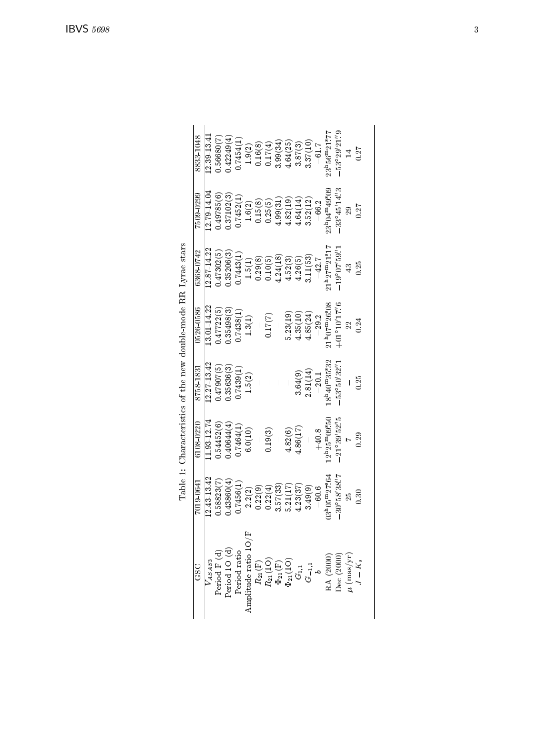| 8833 1048    | $12.39\,13.41$ | 0.56680(7) | 0.42249(4) | 17454(1)  | 1.9(2)  | 0.16(8) | 0.17(4) | 3.99(34) | 4.64(25) | 3.87(3)  | 3.37(10) | $-61.7$ | $23^{\rm h}56^{\rm m}21^{\rm s}77$         | $-53^{\circ}29'21''9$                                                  |   | 0.27      |
|--------------|----------------|------------|------------|-----------|---------|---------|---------|----------|----------|----------|----------|---------|--------------------------------------------|------------------------------------------------------------------------|---|-----------|
| 75090299     | 12.79-14.04    | .49785(6)  | 0.37102(3) | 0.7452(1) | 1.6(2)  | 0.15(8) | 0.25(5) | 4.99(31  | 4.82(19) | 4.64(14) | 3.52(12) | $-66.2$ | 23h04m49.09                                | $-33^{\circ}45'14''3$                                                  |   | 0.27      |
| 6368 0742    | 12.87 14.22    | 147302(5)  | 0.35206(3) | 0.7443(1) | 1.5(1)  | 0.29(8) | 0.10(5) | 4.24(18) | 4.52(3)  | 4.26(5)  | 3.11(53) | $-42.7$ | $21^{\rm h}27^{\rm m}21^{\rm s}17$         | $19^{\circ}07'59'$                                                     |   | 0.25      |
| 0526 0586    | $3.01 - 14.22$ | .47722(5)  | 1.35498(3) | 0.7438(1) | 1.3(1)  |         | 0.17(7) |          | 5.23(19) | 4.35(10) | 4.85(24) | $-29.2$ | $1^{\rm h}07^{\rm m}26\rlap{.}^{\rm s}08$  | $+01^{\circ}10'17\rlap{.}''6$                                          |   | 0.24      |
| 8758-1831    | 12.27 13.42    | 1.47907(5) | 1.35636(3) | 0.7439(1) | 1.5(2)  |         |         |          |          | 3.64(9)  | 2.81(14  | $-20.1$ | $8^{\rm h}40^{\rm m}35\rlap{.}^{\rm s}32$  | $53^{\circ}50'32\rlap{.}^{\prime\prime}1$                              |   | 0.25      |
| $6108\,0220$ | 1.93 12.74     | 0.54452(6) | 140644(4)  | 0.7464(1  | 6.0(10) |         | 0.19(3) |          | 4.82(6)  | 4.86(17  |          | $+40.8$ | $12^{\rm h}25^{\rm m}09\rlap{.}^{\rm s}50$ | $-21^{\circ}39'52''5$                                                  |   | 0.29      |
| 7019.0641    | 12.43 13.42    | 1.58823(7) | 0.43860(4) | 0.7456(1) | 2.2(2)  | 0.22(9) | 0.22(4) | 3.57(33) | 5.21(17) | 4.23(37) | 3.49(9)  | $-60.6$ | $13^{\rm h}05^{\rm m}27\rlap{.}^{\rm s}64$ | $30^{\circ}58'38''7$                                                   | X | 0.30      |
| CSC          |                |            |            |           |         |         |         |          |          |          |          |         |                                            | $\begin{array}{c} \text{RA } (2000) \\ \text{Dec } (2000) \end{array}$ |   | $J - K_s$ |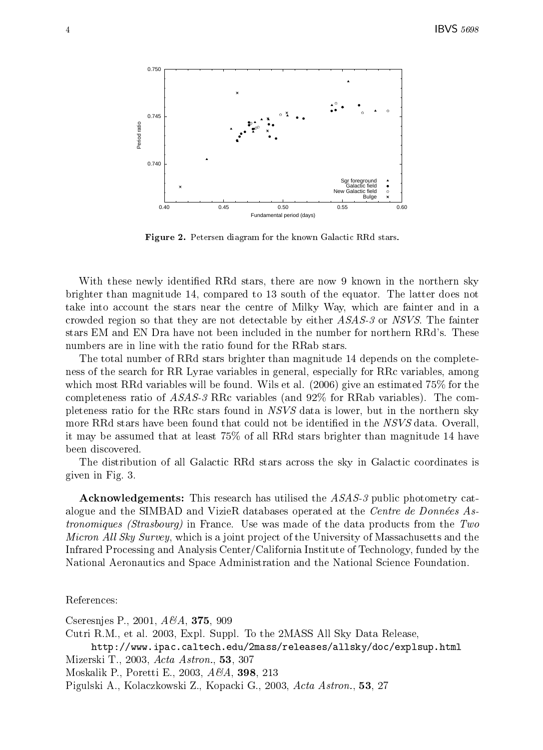

Figure 2. Petersen diagram for the known Galactic RRd stars. - $\blacksquare$ 

 -- - -- -- - 7 - -  $\mathcal{L}$  . The contract of the contract of the contract of the contract of the contract of the contract of the contract of the contract of the contract of the contract of the contract of the contract of the contract of th brighter than magnitude 14, compared to 13 south of the equator. The latter does not --definition of the contract of the contract of the contract of the contract of the contract of the contract of the contract of the contract of the contract of the contract of the contract of the contract of the contract o 0) design to the contract of the contract of the contract of the contract of the contract of the contract of the c the contract of the contract of the contract of the contract of the contract of the contract of the contract o en la componenta de la componenta de la componenta de la componenta de la componenta de la componenta de la co  $-1$  . The contract of the contract of the contract of the contract of the contract of the contract of the contract of the contract of the contract of the contract of the contract of the contract of the contract of the co  $\blacksquare$ 

- - - - 0) -- ---- - - - "

- -- -- "

-  $\blacksquare$ --- "

- 7C "

-( - --- - - - - -  $\frac{1}{\sqrt{2}}$  $\mathbf{M}$ 

reconcernation of the contract of the contract of the contract of the contract of the contract of the contract of the contract of the contract of the contract of the contract of the contract of the contract of the contract  $\sim$   $\sim$   $\sim$   $\sim$   $\sim$ 

 -- - - alogue and the SIMBAD and Vizier, databases operated at the  $Centre$  as Donnees As-  $\,$ - (a) - (a) - (a) - (a) - (a) - (a) - (a) - (a) - (a) - (a) - (a) - (a) - (a) - (a) - (a) - (a) - (a) - (a) - (a) - (a) - (a) - (a) - (a) - (a) - (a) - (a) - (a) - (a) - (a) - (a) - (a) - (a) - (a) - (a) - (a) - (a) - (a) ! " ! , ,- - E"- ?

- - $\mathbf{a}$  ,  $\mathbf{a}$  ,  $\mathbf{a}$  ,  $\mathbf{a}$  ,  $\mathbf{a}$  ,  $\mathbf{a}$  ,  $\mathbf{a}$  ,  $\mathbf{a}$  ,  $\mathbf{a}$  ,  $\mathbf{a}$ the state of the state of the state of the state of the state of the state of the state of the state of the state of the state of the state of the state of the state of the state of the state of the state of the state of t

9--,- +( 0 # 7 7  $\blacksquare$  . The state of the state of the state of the state of the state of the state of the state of the state of the state of the state of the state of the state of the state of the state of the state of the state of the --   - - MIZETSKI 1., 2003, *Acta Astron.*, **53**, 307 . The contract of the contract of the contract of the contract of the contract of the contract of the contract of the contract of the contract of the contract of the contract of the contract of the contract of the contract Pigulski A., Kolaczkowski Z., Kopacki G., 2003, *Acta Astron.*, 53, 27